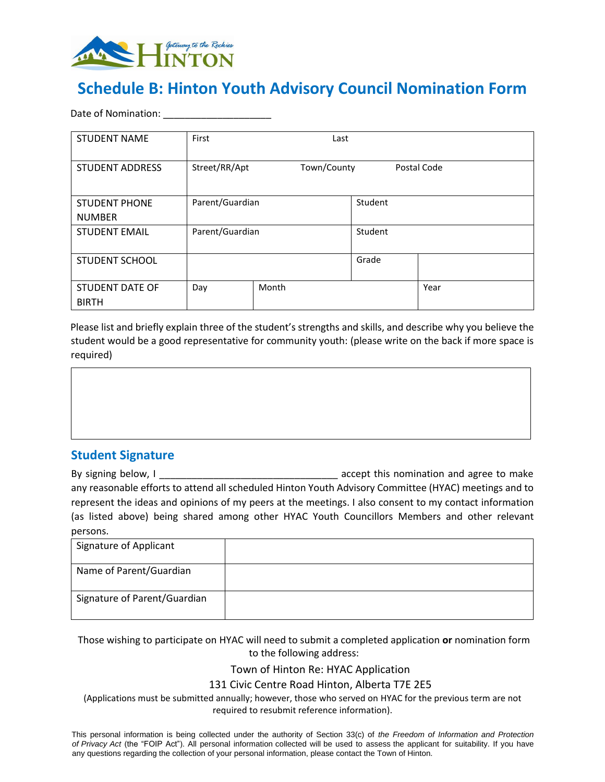

# **Schedule B: Hinton Youth Advisory Council Nomination Form**

Date of Nomination: **With all and Street and Street** 

| <b>STUDENT NAME</b>             | First           | Last        |         |             |
|---------------------------------|-----------------|-------------|---------|-------------|
| <b>STUDENT ADDRESS</b>          | Street/RR/Apt   | Town/County |         | Postal Code |
| <b>STUDENT PHONE</b>            | Parent/Guardian |             | Student |             |
| <b>NUMBER</b>                   |                 |             |         |             |
| <b>STUDENT EMAIL</b>            | Parent/Guardian |             | Student |             |
| <b>STUDENT SCHOOL</b>           |                 |             | Grade   |             |
| STUDENT DATE OF<br><b>BIRTH</b> | Day             | Month       |         | Year        |

Please list and briefly explain three of the student's strengths and skills, and describe why you believe the student would be a good representative for community youth: (please write on the back if more space is required)

#### **Student Signature**

By signing below, I contract the contract of the accept this nomination and agree to make any reasonable efforts to attend all scheduled Hinton Youth Advisory Committee (HYAC) meetings and to represent the ideas and opinions of my peers at the meetings. I also consent to my contact information (as listed above) being shared among other HYAC Youth Councillors Members and other relevant persons.

| Signature of Applicant       |  |
|------------------------------|--|
| Name of Parent/Guardian      |  |
| Signature of Parent/Guardian |  |

Those wishing to participate on HYAC will need to submit a completed application **or** nomination form to the following address:

Town of Hinton Re: HYAC Application

131 Civic Centre Road Hinton, Alberta T7E 2E5

(Applications must be submitted annually; however, those who served on HYAC for the previous term are not required to resubmit reference information).

This personal information is being collected under the authority of Section 33(c) of *the Freedom of Information and Protection of Privacy Act* (the "FOIP Act"). All personal information collected will be used to assess the applicant for suitability. If you have any questions regarding the collection of your personal information, please contact the Town of Hinton.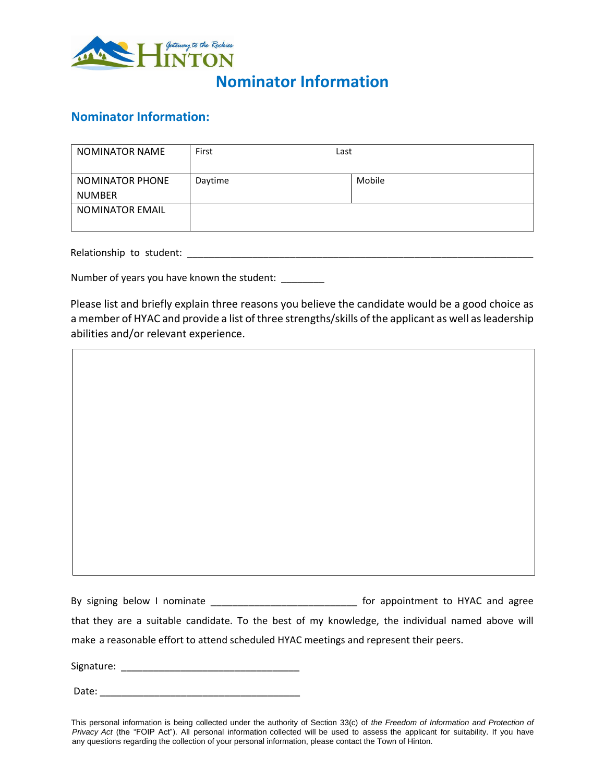

## **Nominator Information**

#### **Nominator Information:**

| <b>NOMINATOR NAME</b>                   | First   | Last   |
|-----------------------------------------|---------|--------|
| <b>NOMINATOR PHONE</b><br><b>NUMBER</b> | Daytime | Mobile |
| <b>NOMINATOR EMAIL</b>                  |         |        |

Relationship to student: \_\_\_\_\_\_\_\_\_\_\_\_\_\_\_\_\_\_\_\_\_\_\_\_\_\_\_\_\_\_\_\_\_\_\_\_\_\_\_\_\_\_\_\_\_\_\_\_\_\_\_\_\_\_\_\_\_\_\_\_\_\_\_\_

Number of years you have known the student: \_\_\_\_\_\_\_\_

Please list and briefly explain three reasons you believe the candidate would be a good choice as a member of HYAC and provide a list of three strengths/skills of the applicant as well as leadership abilities and/or relevant experience.

By signing below I nominate **Example 20** and a significant to HYAC and agree that they are a suitable candidate. To the best of my knowledge, the individual named above will make a reasonable effort to attend scheduled HYAC meetings and represent their peers.

Signature: \_\_\_\_\_\_\_\_\_\_\_\_\_\_\_\_\_\_\_\_\_\_\_\_\_\_\_\_\_\_\_\_\_

| Date: |
|-------|
|-------|

This personal information is being collected under the authority of Section 33(c) of *the Freedom of Information and Protection of Privacy Act* (the "FOIP Act"). All personal information collected will be used to assess the applicant for suitability. If you have any questions regarding the collection of your personal information, please contact the Town of Hinton.